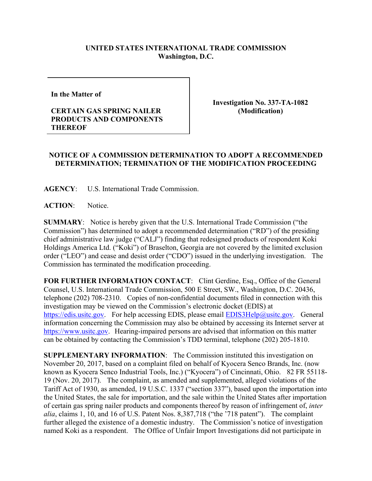## **UNITED STATES INTERNATIONAL TRADE COMMISSION Washington, D.C.**

**In the Matter of** 

## **CERTAIN GAS SPRING NAILER PRODUCTS AND COMPONENTS THEREOF**

**Investigation No. 337-TA-1082 (Modification)**

## **NOTICE OF A COMMISSION DETERMINATION TO ADOPT A RECOMMENDED DETERMINATION; TERMINATION OF THE MODIFICATION PROCEEDING**

**AGENCY**: U.S. International Trade Commission.

ACTION: Notice.

**SUMMARY**: Notice is hereby given that the U.S. International Trade Commission ("the Commission") has determined to adopt a recommended determination ("RD") of the presiding chief administrative law judge ("CALJ") finding that redesigned products of respondent Koki Holdings America Ltd. ("Koki") of Braselton, Georgia are not covered by the limited exclusion order ("LEO") and cease and desist order ("CDO") issued in the underlying investigation. The Commission has terminated the modification proceeding.

**FOR FURTHER INFORMATION CONTACT**: Clint Gerdine, Esq., Office of the General Counsel, U.S. International Trade Commission, 500 E Street, SW., Washington, D.C. 20436, telephone (202) 708-2310. Copies of non-confidential documents filed in connection with this investigation may be viewed on the Commission's electronic docket (EDIS) at [https://edis.usitc.gov.](https://edis.usitc.gov/) For help accessing EDIS, please email [EDIS3Help@usitc.gov.](mailto:EDIS3Help@usitc.gov) General information concerning the Commission may also be obtained by accessing its Internet server at [https://www.usitc.gov.](https://www.usitc.gov/) Hearing-impaired persons are advised that information on this matter can be obtained by contacting the Commission's TDD terminal, telephone (202) 205-1810.

**SUPPLEMENTARY INFORMATION**: The Commission instituted this investigation on November 20, 2017, based on a complaint filed on behalf of Kyocera Senco Brands, Inc. (now known as Kyocera Senco Industrial Tools, Inc.) ("Kyocera") of Cincinnati, Ohio. 82 FR 55118- 19 (Nov. 20, 2017). The complaint, as amended and supplemented, alleged violations of the Tariff Act of 1930, as amended, 19 U.S.C. 1337 ("section 337"), based upon the importation into the United States, the sale for importation, and the sale within the United States after importation of certain gas spring nailer products and components thereof by reason of infringement of, *inter alia*, claims 1, 10, and 16 of U.S. Patent Nos. 8,387,718 ("the '718 patent"). The complaint further alleged the existence of a domestic industry. The Commission's notice of investigation named Koki as a respondent. The Office of Unfair Import Investigations did not participate in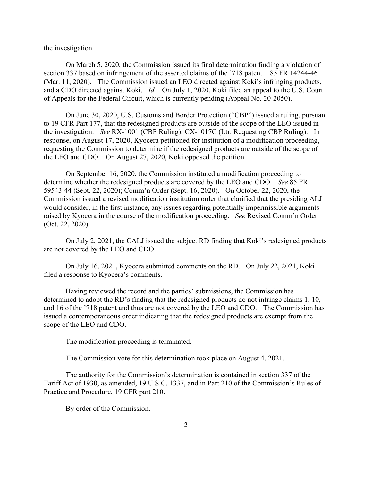the investigation.

On March 5, 2020, the Commission issued its final determination finding a violation of section 337 based on infringement of the asserted claims of the '718 patent. 85 FR 14244-46 (Mar. 11, 2020). The Commission issued an LEO directed against Koki's infringing products, and a CDO directed against Koki. *Id.* On July 1, 2020, Koki filed an appeal to the U.S. Court of Appeals for the Federal Circuit, which is currently pending (Appeal No. 20-2050).

On June 30, 2020, U.S. Customs and Border Protection ("CBP") issued a ruling, pursuant to 19 CFR Part 177, that the redesigned products are outside of the scope of the LEO issued in the investigation. *See* RX-1001 (CBP Ruling); CX-1017C (Ltr. Requesting CBP Ruling). In response, on August 17, 2020, Kyocera petitioned for institution of a modification proceeding, requesting the Commission to determine if the redesigned products are outside of the scope of the LEO and CDO. On August 27, 2020, Koki opposed the petition.

On September 16, 2020, the Commission instituted a modification proceeding to determine whether the redesigned products are covered by the LEO and CDO. *See* 85 FR 59543-44 (Sept. 22, 2020); Comm'n Order (Sept. 16, 2020). On October 22, 2020, the Commission issued a revised modification institution order that clarified that the presiding ALJ would consider, in the first instance, any issues regarding potentially impermissible arguments raised by Kyocera in the course of the modification proceeding. *See* Revised Comm'n Order (Oct. 22, 2020).

On July 2, 2021, the CALJ issued the subject RD finding that Koki's redesigned products are not covered by the LEO and CDO.

On July 16, 2021, Kyocera submitted comments on the RD. On July 22, 2021, Koki filed a response to Kyocera's comments.

Having reviewed the record and the parties' submissions, the Commission has determined to adopt the RD's finding that the redesigned products do not infringe claims 1, 10, and 16 of the '718 patent and thus are not covered by the LEO and CDO. The Commission has issued a contemporaneous order indicating that the redesigned products are exempt from the scope of the LEO and CDO.

The modification proceeding is terminated.

The Commission vote for this determination took place on August 4, 2021.

The authority for the Commission's determination is contained in section 337 of the Tariff Act of 1930, as amended, 19 U.S.C. 1337, and in Part 210 of the Commission's Rules of Practice and Procedure, 19 CFR part 210.

By order of the Commission.